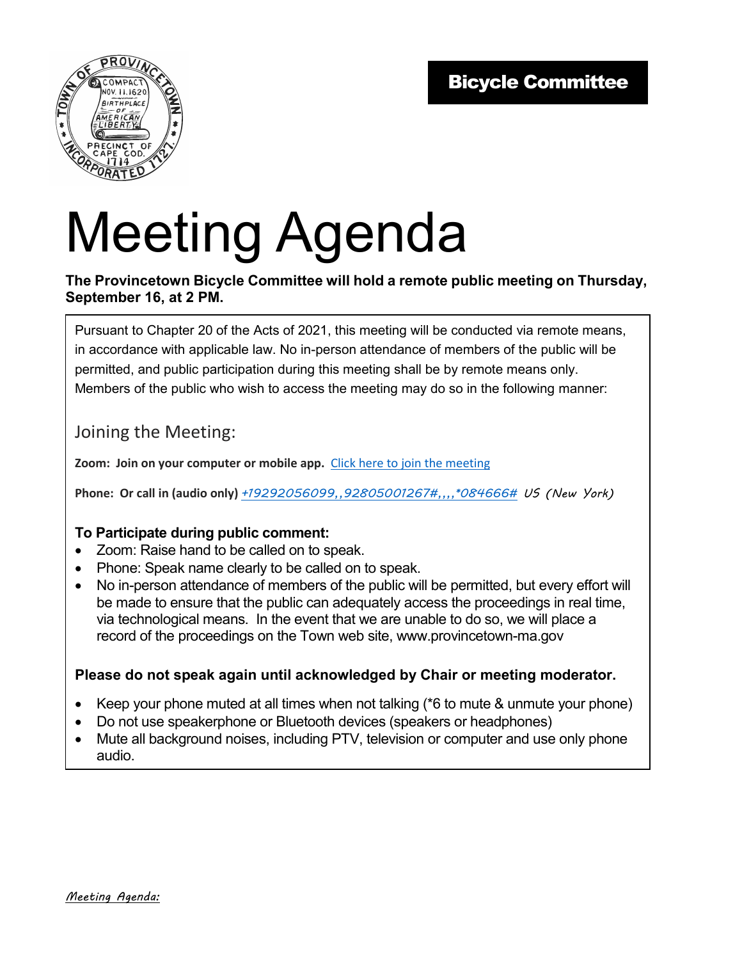

# Meeting Agenda

#### **The Provincetown Bicycle Committee will hold a remote public meeting on Thursday, September 16, at 2 PM.**

Pursuant to Chapter 20 of the Acts of 2021, this meeting will be conducted via remote means, in accordance with applicable law. No in-person attendance of members of the public will be permitted, and public participation during this meeting shall be by remote means only. Members of the public who wish to access the meeting may do so in the following manner:

### Joining the Meeting:

**Zoom: Join on your computer or mobile app.** Click here to join the meeting

**Phone: Or call in (audio only)** *+19292056099,,92805001267#,,,,\*084666# US (New York)*

#### **To Participate during public comment:**

- Zoom: Raise hand to be called on to speak.
- Phone: Speak name clearly to be called on to speak.
- No in-person attendance of members of the public will be permitted, but every effort will be made to ensure that the public can adequately access the proceedings in real time, via technological means. In the event that we are unable to do so, we will place a record of the proceedings on the Town web site, www.provincetown-ma.gov

#### **Please do not speak again until acknowledged by Chair or meeting moderator.**

- Keep your phone muted at all times when not talking (\*6 to mute & unmute your phone)
- Do not use speakerphone or Bluetooth devices (speakers or headphones)
- Mute all background noises, including PTV, television or computer and use only phone audio.